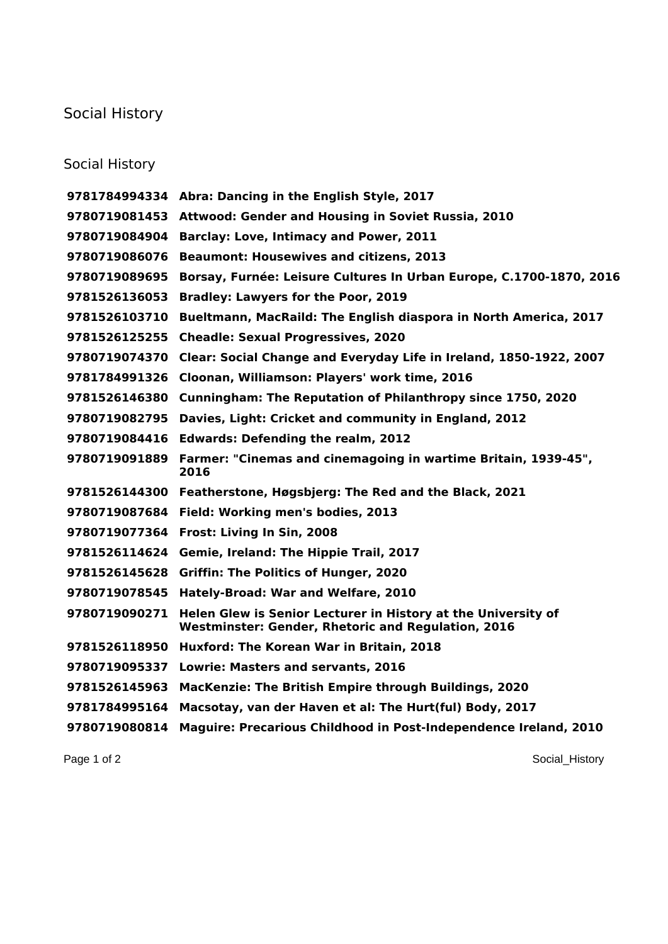## Social History

## Social History

| 9781784994334 | Abra: Dancing in the English Style, 2017                                                                            |
|---------------|---------------------------------------------------------------------------------------------------------------------|
| 9780719081453 | Attwood: Gender and Housing in Soviet Russia, 2010                                                                  |
| 9780719084904 | Barclay: Love, Intimacy and Power, 2011                                                                             |
| 9780719086076 | <b>Beaumont: Housewives and citizens, 2013</b>                                                                      |
| 9780719089695 | Borsay, Furnée: Leisure Cultures In Urban Europe, C.1700-1870, 2016                                                 |
| 9781526136053 | <b>Bradley: Lawyers for the Poor, 2019</b>                                                                          |
| 9781526103710 | Bueltmann, MacRaild: The English diaspora in North America, 2017                                                    |
| 9781526125255 | <b>Cheadle: Sexual Progressives, 2020</b>                                                                           |
| 9780719074370 | Clear: Social Change and Everyday Life in Ireland, 1850-1922, 2007                                                  |
| 9781784991326 | Cloonan, Williamson: Players' work time, 2016                                                                       |
| 9781526146380 | Cunningham: The Reputation of Philanthropy since 1750, 2020                                                         |
| 9780719082795 | Davies, Light: Cricket and community in England, 2012                                                               |
| 9780719084416 | <b>Edwards: Defending the realm, 2012</b>                                                                           |
| 9780719091889 | Farmer: "Cinemas and cinemagoing in wartime Britain, 1939-45",<br>2016                                              |
| 9781526144300 | Featherstone, Høgsbjerg: The Red and the Black, 2021                                                                |
| 9780719087684 | Field: Working men's bodies, 2013                                                                                   |
| 9780719077364 | Frost: Living In Sin, 2008                                                                                          |
| 9781526114624 | Gemie, Ireland: The Hippie Trail, 2017                                                                              |
| 9781526145628 | <b>Griffin: The Politics of Hunger, 2020</b>                                                                        |
| 9780719078545 | Hately-Broad: War and Welfare, 2010                                                                                 |
| 9780719090271 | Helen Glew is Senior Lecturer in History at the University of<br>Westminster: Gender, Rhetoric and Regulation, 2016 |
|               | 9781526118950 Huxford: The Korean War in Britain, 2018                                                              |
| 9780719095337 | <b>Lowrie: Masters and servants, 2016</b>                                                                           |
| 9781526145963 | MacKenzie: The British Empire through Buildings, 2020                                                               |
| 9781784995164 | Macsotay, van der Haven et al: The Hurt(ful) Body, 2017                                                             |
| 9780719080814 | Maguire: Precarious Childhood in Post-Independence Ireland, 2010                                                    |

Page 1 of 2 Social\_History